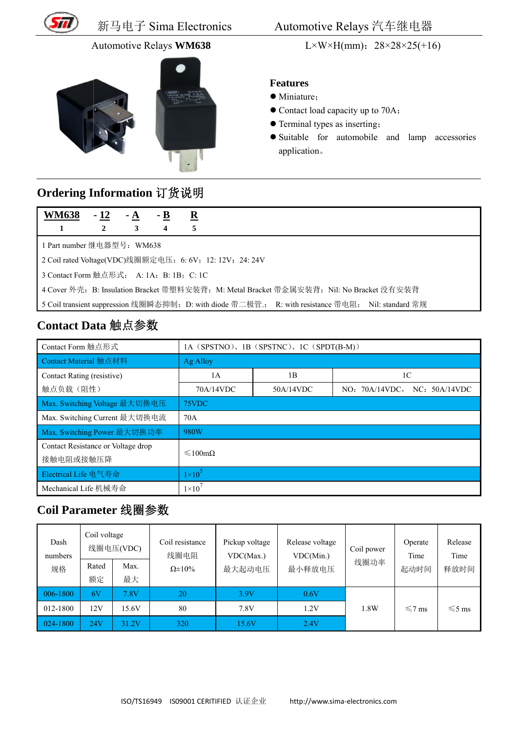

新马电子 子 Sima El lectronics

#### Automotive Relays WM638



Automotiv e Relays 汽 汽车继电 器

#### **Fe eatures**

- M Miniature;
- Contact load capacity up to 70A;
- Terminal types as inserting;
- Suitable for automobile and lamp accessories a application。

## **O rdering I nformatio on** 订货说 说明

| <b>WM638</b>                                                                                      | $-12$ | $- A$ | $-B$ | $\overline{\mathbf{R}}$ |  |  |
|---------------------------------------------------------------------------------------------------|-------|-------|------|-------------------------|--|--|
| 1                                                                                                 | 2     | 3     | 4    | 5                       |  |  |
| 1 Part number 继电器型号:WM638                                                                         |       |       |      |                         |  |  |
| 2 Coil rated Voltage(VDC)线圈额定电压: 6: 6V; 12: 12V; 24: 24V                                          |       |       |      |                         |  |  |
| 3 Contact Form 触点形式: A: 1A; B: 1B; C: 1C                                                          |       |       |      |                         |  |  |
| 4 Cover 外壳: B: Insulation Bracket 带塑料安装背; M: Metal Bracket 带金属安装背; Nil: No Bracket 没有安装背          |       |       |      |                         |  |  |
| 5 Coil transient suppression 线圈瞬态抑制: D: with diode 带二极管: R: with resistance 带电阻; Nil: standard 常规 |       |       |      |                         |  |  |

## Contact Data 触点参数

|                                                                                | 新马电子 Sima Electronics                                  |            |                                              |                                          |                                                          | Automotive Relays 汽车继电器                   |                                                                                                                                                                                               |                                                   |                         |             |
|--------------------------------------------------------------------------------|--------------------------------------------------------|------------|----------------------------------------------|------------------------------------------|----------------------------------------------------------|-------------------------------------------|-----------------------------------------------------------------------------------------------------------------------------------------------------------------------------------------------|---------------------------------------------------|-------------------------|-------------|
|                                                                                | Automotive Relays WM638                                |            |                                              |                                          |                                                          | L×W×H(mm): $28 \times 28 \times 25 (+16)$ |                                                                                                                                                                                               |                                                   |                         |             |
|                                                                                |                                                        |            |                                              |                                          |                                                          |                                           | <b>Features</b><br>· Miniature;<br>• Contact load capacity up to 70A;<br>• Terminal types as inserting;<br>Suitable for automobile and lamp<br>application.                                   |                                                   |                         | accessories |
| Ordering Information 订货说明<br><b>WM638</b>                                      | - 12                                                   | <u>- A</u> | - <u>B</u>                                   | ${\bf \underline{R}}$                    |                                                          |                                           |                                                                                                                                                                                               |                                                   |                         |             |
| 1                                                                              | $\overline{2}$                                         | 3          |                                              | 5                                        |                                                          |                                           |                                                                                                                                                                                               |                                                   |                         |             |
| 3 Contact Form 触点形式: A: 1A; B: 1B; C: 1C<br>Contact Data 触点参数                  |                                                        |            |                                              |                                          | 2 Coil rated Voltage(VDC)线圈额定电压: 6: 6V; 12: 12V; 24: 24V |                                           | 4 Cover 外壳: B: Insulation Bracket 带塑料安装背; M: Metal Bracket 带金属安装背; Nil: No Bracket 没有安装背<br>5 Coil transient suppression 线圈瞬态抑制: D: with diode 带二极管: R: with resistance 带电阻; Nil: standard 常规 |                                                   |                         |             |
| Contact Form 触点形式                                                              |                                                        |            |                                              | 1A (SPSTNO), 1B (SPSTNC), 1C (SPDT(B-M)) |                                                          |                                           |                                                                                                                                                                                               |                                                   |                         |             |
| Contact Material 触点材料                                                          |                                                        |            |                                              |                                          | <b>Ag Alloy</b>                                          |                                           |                                                                                                                                                                                               |                                                   |                         |             |
| Contact Rating (resistive)<br>触点负载(阻性)                                         |                                                        |            |                                              |                                          | 1A<br>70A/14VDC                                          |                                           | 1B<br>50A/14VDC                                                                                                                                                                               | 1 <sup>C</sup><br>NC: 50A/14VDC<br>NO: 70A/14VDC, |                         |             |
| Max. Switching Voltage 最大切换电压                                                  |                                                        |            |                                              | 75VDC                                    |                                                          |                                           |                                                                                                                                                                                               |                                                   |                         |             |
| Max. Switching Current 最大切换电流                                                  |                                                        |            |                                              | 70A                                      |                                                          |                                           |                                                                                                                                                                                               |                                                   |                         |             |
| Max. Switching Power 最大切换功率<br>Contact Resistance or Voltage drop<br>接触电阻或接触压降 |                                                        |            |                                              | 980W<br>≤100mΩ                           |                                                          |                                           |                                                                                                                                                                                               |                                                   |                         |             |
| Electrical Life 电气寿命                                                           |                                                        |            |                                              | $1\times10^5$<br>$1\times10^7$           |                                                          |                                           |                                                                                                                                                                                               |                                                   |                         |             |
| Mechanical Life 机械寿命<br>Coil Parameter 线圈参数                                    |                                                        |            |                                              |                                          |                                                          |                                           |                                                                                                                                                                                               |                                                   |                         |             |
| Dash<br>numbers<br>规格                                                          | Coil voltage<br>线圈电压(VDC)<br>Rated<br>Max.<br>额定<br>最大 |            | Coil resistance<br>线圈电阻<br>$\Omega \pm 10\%$ | Pickup voltage<br>VDC(Max.)<br>最大起动电压    |                                                          | Release voltage<br>VDC(Min.)<br>最小释放电压    | Coil power<br>线圈功率                                                                                                                                                                            | Operate<br>Time<br>起动时间                           | Release<br>Time<br>释放时间 |             |
| 006-1800                                                                       | 6V                                                     | 7.8V       |                                              | 20                                       | 3.9V                                                     |                                           | 0.6V                                                                                                                                                                                          |                                                   |                         |             |
| 012-1800                                                                       | 12V                                                    | 15.6V      |                                              | $80\,$                                   | 7.8V                                                     |                                           | 1.2V                                                                                                                                                                                          | 1.8W                                              | $\leq 7$ ms             | $\leq 5$ ms |
| 024-1800                                                                       | <b>24V</b>                                             | 31.2V      | 320                                          |                                          | 15.6V                                                    |                                           | 2.4V                                                                                                                                                                                          |                                                   |                         |             |

## **Co oil Param meter** 线圈 圈参数

| Dash<br>numbers | Coil voltage | 线圈电压(VDC) | Coil resistance<br>线圈电阻 | Pickup voltage<br>VDC(Max.)<br>最大起动电压 | Release voltage<br>VDC(Min.)<br>最小释放电压 | Coil power<br>线圈功率 | Operate<br>Time<br>起动时间 | Release<br>Time<br>释放时间 |
|-----------------|--------------|-----------|-------------------------|---------------------------------------|----------------------------------------|--------------------|-------------------------|-------------------------|
| 规格              | Rated        | Max.      | $\Omega \pm 10\%$       |                                       |                                        |                    |                         |                         |
|                 | 额定           | 最大        |                         |                                       |                                        |                    |                         |                         |
| 006-1800        | 6V           | 7.8V      | 20                      | 3.9V                                  | 0.6V                                   |                    |                         |                         |
| 012-1800        | 12V          | 15.6V     | 80                      | 7.8V                                  | 1.2V                                   | 1.8W               | $\leq 7$ ms             | $\leq 5$ ms             |
| 024-1800        | 24V          | 31.2V     | 320                     | 15.6V                                 | 2.4V                                   |                    |                         |                         |